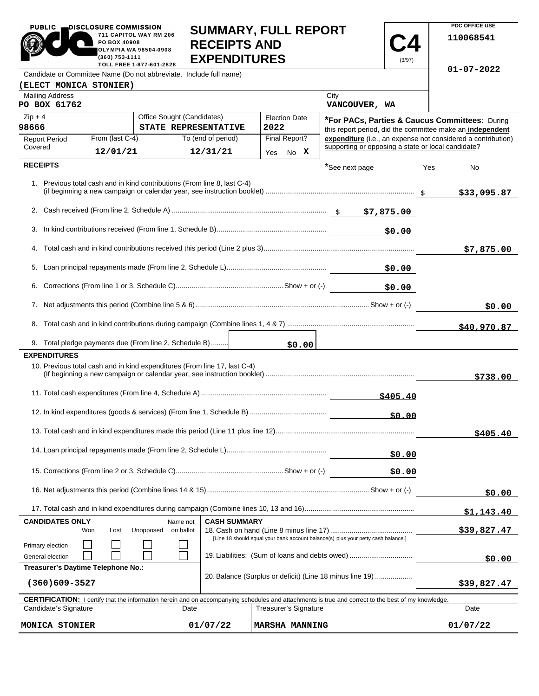| <b>PUBLIC</b>                                                                                                                                                                                                        | DISCLOSURE COMMISSION<br>PO BOX 40908                                             | 711 CAPITOL WAY RM 206                                                    | <b>SUMMARY, FULL REPORT</b>                |                                                                                           |                       |                                                           |             |      | PDC OFFICE USE<br>110068541                                  |
|----------------------------------------------------------------------------------------------------------------------------------------------------------------------------------------------------------------------|-----------------------------------------------------------------------------------|---------------------------------------------------------------------------|--------------------------------------------|-------------------------------------------------------------------------------------------|-----------------------|-----------------------------------------------------------|-------------|------|--------------------------------------------------------------|
|                                                                                                                                                                                                                      | (360) 753-1111                                                                    | OLYMPIA WA 98504-0908<br>TOLL FREE 1-877-601-2828                         | <b>RECEIPTS AND</b><br><b>EXPENDITURES</b> |                                                                                           |                       |                                                           | (3/97)      |      |                                                              |
|                                                                                                                                                                                                                      |                                                                                   | Candidate or Committee Name (Do not abbreviate. Include full name)        |                                            |                                                                                           |                       |                                                           |             |      | 01-07-2022                                                   |
| (ELECT MONICA STONIER)                                                                                                                                                                                               |                                                                                   |                                                                           |                                            |                                                                                           |                       |                                                           |             |      |                                                              |
| <b>Mailing Address</b><br>PO BOX 61762                                                                                                                                                                               |                                                                                   |                                                                           |                                            |                                                                                           |                       | City<br>VANCOUVER, WA                                     |             |      |                                                              |
| Office Sought (Candidates)<br>$Zip + 4$<br>98666<br>STATE REPRESENTATIVE                                                                                                                                             |                                                                                   |                                                                           |                                            | <b>Election Date</b><br><b>*For PACs, Parties &amp; Caucus Committees: During</b><br>2022 |                       |                                                           |             |      |                                                              |
| <b>Report Period</b>                                                                                                                                                                                                 | From (last C-4)                                                                   |                                                                           | To (end of period)                         |                                                                                           | Final Report?         | this report period, did the committee make an independent |             |      | expenditure (i.e., an expense not considered a contribution) |
| Covered                                                                                                                                                                                                              | 12/01/21                                                                          |                                                                           | 12/31/21                                   | Yes                                                                                       | No X                  | supporting or opposing a state or local candidate?        |             |      |                                                              |
| <b>RECEIPTS</b>                                                                                                                                                                                                      |                                                                                   |                                                                           |                                            |                                                                                           |                       | *See next page                                            |             | Yes  | No.                                                          |
|                                                                                                                                                                                                                      |                                                                                   | 1. Previous total cash and in kind contributions (From line 8, last C-4)  |                                            |                                                                                           |                       |                                                           |             |      | \$33,095.87                                                  |
|                                                                                                                                                                                                                      |                                                                                   |                                                                           |                                            |                                                                                           |                       |                                                           |             |      |                                                              |
|                                                                                                                                                                                                                      |                                                                                   |                                                                           |                                            |                                                                                           |                       |                                                           | \$0.00      |      |                                                              |
|                                                                                                                                                                                                                      |                                                                                   |                                                                           |                                            |                                                                                           |                       |                                                           |             |      |                                                              |
|                                                                                                                                                                                                                      |                                                                                   |                                                                           |                                            |                                                                                           |                       |                                                           |             |      | \$7,875.00                                                   |
|                                                                                                                                                                                                                      |                                                                                   |                                                                           |                                            |                                                                                           |                       |                                                           | \$0.00      |      |                                                              |
| \$0.00                                                                                                                                                                                                               |                                                                                   |                                                                           |                                            |                                                                                           |                       |                                                           |             |      |                                                              |
|                                                                                                                                                                                                                      |                                                                                   |                                                                           |                                            |                                                                                           |                       |                                                           | \$0.00      |      |                                                              |
|                                                                                                                                                                                                                      |                                                                                   |                                                                           |                                            |                                                                                           |                       |                                                           |             |      | \$40,970.87                                                  |
|                                                                                                                                                                                                                      |                                                                                   | 9. Total pledge payments due (From line 2, Schedule B)                    |                                            |                                                                                           | \$0.00                |                                                           |             |      |                                                              |
| <b>EXPENDITURES</b>                                                                                                                                                                                                  |                                                                                   |                                                                           |                                            |                                                                                           |                       |                                                           |             |      |                                                              |
|                                                                                                                                                                                                                      |                                                                                   | 10. Previous total cash and in kind expenditures (From line 17, last C-4) |                                            |                                                                                           |                       |                                                           |             |      | \$738.00                                                     |
|                                                                                                                                                                                                                      |                                                                                   |                                                                           |                                            |                                                                                           |                       |                                                           | \$405.40    |      |                                                              |
|                                                                                                                                                                                                                      |                                                                                   |                                                                           |                                            |                                                                                           |                       |                                                           | \$0.00      |      |                                                              |
|                                                                                                                                                                                                                      |                                                                                   |                                                                           |                                            |                                                                                           |                       |                                                           |             |      | \$405.40                                                     |
|                                                                                                                                                                                                                      |                                                                                   |                                                                           |                                            |                                                                                           |                       |                                                           | \$0.00      |      |                                                              |
|                                                                                                                                                                                                                      |                                                                                   |                                                                           |                                            |                                                                                           |                       |                                                           | \$0.00      |      |                                                              |
|                                                                                                                                                                                                                      |                                                                                   |                                                                           |                                            |                                                                                           |                       |                                                           |             |      |                                                              |
|                                                                                                                                                                                                                      |                                                                                   |                                                                           |                                            |                                                                                           |                       |                                                           |             |      | \$0.00                                                       |
|                                                                                                                                                                                                                      |                                                                                   |                                                                           |                                            |                                                                                           |                       |                                                           | \$1,143.40  |      |                                                              |
| <b>CASH SUMMARY</b><br><b>CANDIDATES ONLY</b><br>Name not<br>Unopposed<br>on ballot<br>Won<br>Lost                                                                                                                   |                                                                                   |                                                                           |                                            |                                                                                           |                       |                                                           | \$39,827.47 |      |                                                              |
| Primary election                                                                                                                                                                                                     | [Line 18 should equal your bank account balance(s) plus your petty cash balance.] |                                                                           |                                            |                                                                                           |                       |                                                           |             |      |                                                              |
| 19. Liabilities: (Sum of loans and debts owed)<br>General election<br>Treasurer's Daytime Telephone No.:                                                                                                             |                                                                                   |                                                                           |                                            |                                                                                           |                       |                                                           | \$0.00      |      |                                                              |
| 20. Balance (Surplus or deficit) (Line 18 minus line 19)<br>$(360)609 - 3527$                                                                                                                                        |                                                                                   |                                                                           |                                            |                                                                                           |                       | \$39,827.47                                               |             |      |                                                              |
|                                                                                                                                                                                                                      |                                                                                   |                                                                           |                                            |                                                                                           |                       |                                                           |             |      |                                                              |
| <b>CERTIFICATION:</b> I certify that the information herein and on accompanying schedules and attachments is true and correct to the best of my knowledge.<br>Candidate's Signature<br>Treasurer's Signature<br>Date |                                                                                   |                                                                           |                                            |                                                                                           |                       |                                                           |             | Date |                                                              |
| 01/07/22<br><b>MONICA STONIER</b>                                                                                                                                                                                    |                                                                                   |                                                                           |                                            |                                                                                           | <b>MARSHA MANNING</b> |                                                           |             |      | 01/07/22                                                     |

**PDC OFFICE USE**